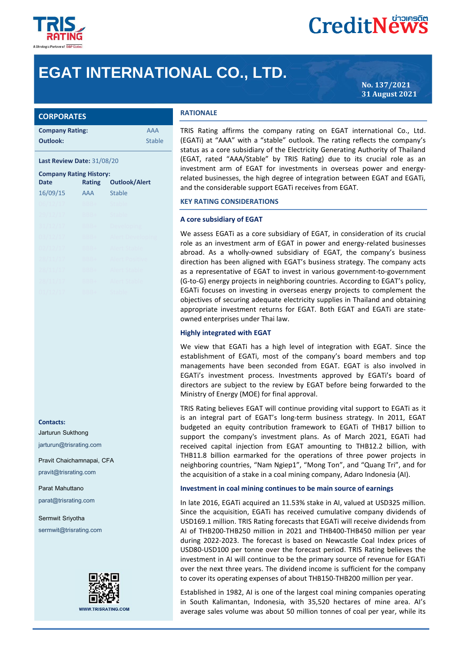

# **CreditNews**

## **EGAT INTERNATIONAL CO., LTD.**

**No. 137/2021 31 August 2021**

| <b>CORPORATES</b> |  |  |
|-------------------|--|--|
|                   |  |  |

| <b>Company Rating:</b> | AAA           |
|------------------------|---------------|
| Outlook:               | <b>Stable</b> |

#### **Last Review Date:** 31/08/20

| <b>Company Rating History:</b> |               |                         |  |  |
|--------------------------------|---------------|-------------------------|--|--|
| <b>Date</b>                    | <b>Rating</b> | <b>Outlook/Alert</b>    |  |  |
| 16/09/15                       | <b>AAA</b>    | <b>Stable</b>           |  |  |
| 06/12/17                       | BBB+          | Stable                  |  |  |
| 29/12/17                       | BBB+          | Stable                  |  |  |
| 31/12/17                       | BBB+          | Developing              |  |  |
| 03/12/17                       | BBB+          | <b>Alert Developing</b> |  |  |
| 02/12/17                       | BBB+          | Alert Stable            |  |  |
| 28/11/17                       | BBB+          | Alert Positive          |  |  |
| 28/11/17                       | BBB+          | Alert Stable            |  |  |
| 28/11/17                       | BBB+          | Alert Stable            |  |  |
|                                | BBB+          | Stable                  |  |  |

#### **Contacts:**

Jarturun Sukthong jarturun@trisrating.com

Pravit Chaichamnapai, CFA pravit@trisrating.com

Parat Mahuttano parat@trisrating.com

Sermwit Sriyotha sermwit@trisrating.com



#### **RATIONALE**

TRIS Rating affirms the company rating on EGAT international Co., Ltd. (EGATi) at "AAA" with a "stable" outlook. The rating reflects the company's status as a core subsidiary of the Electricity Generating Authority of Thailand (EGAT, rated "AAA/Stable" by TRIS Rating) due to its crucial role as an investment arm of EGAT for investments in overseas power and energyrelated businesses, the high degree of integration between EGAT and EGATi, and the considerable support EGATi receives from EGAT.

#### **KEY RATING CONSIDERATIONS**

#### **A core subsidiary of EGAT**

We assess EGATi as a core subsidiary of EGAT, in consideration of its crucial role as an investment arm of EGAT in power and energy-related businesses abroad. As a wholly-owned subsidiary of EGAT, the company's business direction has been aligned with EGAT's business strategy. The company acts as a representative of EGAT to invest in various government-to-government (G-to-G) energy projects in neighboring countries. According to EGAT's policy, EGATi focuses on investing in overseas energy projects to complement the objectives of securing adequate electricity supplies in Thailand and obtaining appropriate investment returns for EGAT. Both EGAT and EGATi are stateowned enterprises under Thai law.

#### **Highly integrated with EGAT**

We view that EGATi has a high level of integration with EGAT. Since the establishment of EGATi, most of the company's board members and top managements have been seconded from EGAT. EGAT is also involved in EGATi's investment process. Investments approved by EGATi's board of directors are subject to the review by EGAT before being forwarded to the Ministry of Energy (MOE) for final approval.

TRIS Rating believes EGAT will continue providing vital support to EGATi as it is an integral part of EGAT's long-term business strategy. In 2011, EGAT budgeted an equity contribution framework to EGATi of THB17 billion to support the company's investment plans. As of March 2021, EGATi had received capital injection from EGAT amounting to THB12.2 billion, with THB11.8 billion earmarked for the operations of three power projects in neighboring countries, "Nam Ngiep1", "Mong Ton", and "Quang Tri", and for the acquisition of a stake in a coal mining company, Adaro Indonesia (AI).

#### **Investment in coal mining continues to be main source of earnings**

In late 2016, EGATi acquired an 11.53% stake in AI, valued at USD325 million. Since the acquisition, EGATi has received cumulative company dividends of USD169.1 million. TRIS Rating forecasts that EGATi will receive dividends from AI of THB200-THB250 million in 2021 and THB400-THB450 million per year during 2022-2023. The forecast is based on Newcastle Coal Index prices of USD80-USD100 per tonne over the forecast period. TRIS Rating believes the investment in AI will continue to be the primary source of revenue for EGATi over the next three years. The dividend income is sufficient for the company to cover its operating expenses of about THB150-THB200 million per year.

Established in 1982, AI is one of the largest coal mining companies operating in South Kalimantan, Indonesia, with 35,520 hectares of mine area. AI's average sales volume was about 50 million tonnes of coal per year, while its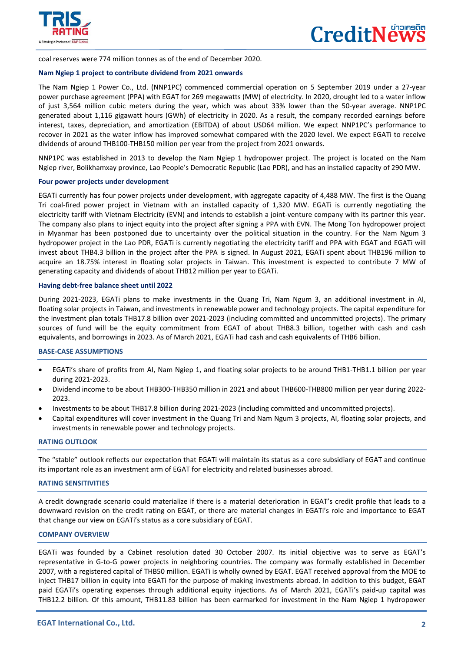

 $\overline{a}$ 

coal reserves were 774 million tonnes as of the end of December 2020.

#### **Nam Ngiep 1 project to contribute dividend from 2021 onwards**

The Nam Ngiep 1 Power Co., Ltd. (NNP1PC) commenced commercial operation on 5 September 2019 under a 27-year power purchase agreement (PPA) with EGAT for 269 megawatts (MW) of electricity. In 2020, drought led to a water inflow of just 3,564 million cubic meters during the year, which was about 33% lower than the 50-year average. NNP1PC generated about 1,116 gigawatt hours (GWh) of electricity in 2020. As a result, the company recorded earnings before interest, taxes, depreciation, and amortization (EBITDA) of about USD64 million. We expect NNP1PC's performance to recover in 2021 as the water inflow has improved somewhat compared with the 2020 level. We expect EGATi to receive dividends of around THB100-THB150 million per year from the project from 2021 onwards.

NNP1PC was established in 2013 to develop the Nam Ngiep 1 hydropower project. The project is located on the Nam Ngiep river, Bolikhamxay province, Lao People's Democratic Republic (Lao PDR), and has an installed capacity of 290 MW.

#### **Four power projects under development**

EGATi currently has four power projects under development, with aggregate capacity of 4,488 MW. The first is the Quang Tri coal-fired power project in Vietnam with an installed capacity of 1,320 MW. EGATi is currently negotiating the electricity tariff with Vietnam Electricity (EVN) and intends to establish a joint-venture company with its partner this year. The company also plans to inject equity into the project after signing a PPA with EVN. The Mong Ton hydropower project in Myanmar has been postponed due to uncertainty over the political situation in the country. For the Nam Ngum 3 hydropower project in the Lao PDR, EGATi is currently negotiating the electricity tariff and PPA with EGAT and EGATi will invest about THB4.3 billion in the project after the PPA is signed. In August 2021, EGATi spent about THB196 million to acquire an 18.75% interest in floating solar projects in Taiwan. This investment is expected to contribute 7 MW of generating capacity and dividends of about THB12 million per year to EGATi.

#### **Having debt-free balance sheet until 2022**

During 2021-2023, EGATi plans to make investments in the Quang Tri, Nam Ngum 3, an additional investment in AI, floating solar projects in Taiwan, and investments in renewable power and technology projects. The capital expenditure for the investment plan totals THB17.8 billion over 2021-2023 (including committed and uncommitted projects). The primary sources of fund will be the equity commitment from EGAT of about THB8.3 billion, together with cash and cash equivalents, and borrowings in 2023. As of March 2021, EGATi had cash and cash equivalents of THB6 billion.

#### **BASE-CASE ASSUMPTIONS**

- EGATi's share of profits from AI, Nam Ngiep 1, and floating solar projects to be around THB1-THB1.1 billion per year during 2021-2023.
- Dividend income to be about THB300-THB350 million in 2021 and about THB600-THB800 million per year during 2022- 2023.
- Investments to be about THB17.8 billion during 2021-2023 (including committed and uncommitted projects).
- Capital expenditures will cover investment in the Quang Tri and Nam Ngum 3 projects, AI, floating solar projects, and investments in renewable power and technology projects.

#### **RATING OUTLOOK**

The "stable" outlook reflects our expectation that EGATi will maintain its status as a core subsidiary of EGAT and continue its important role as an investment arm of EGAT for electricity and related businesses abroad.

#### **RATING SENSITIVITIES**

A credit downgrade scenario could materialize if there is a material deterioration in EGAT's credit profile that leads to a downward revision on the credit rating on EGAT, or there are material changes in EGATi's role and importance to EGAT that change our view on EGATi's status as a core subsidiary of EGAT.

#### **COMPANY OVERVIEW**

EGATi was founded by a Cabinet resolution dated 30 October 2007. Its initial objective was to serve as EGAT's representative in G-to-G power projects in neighboring countries. The company was formally established in December 2007, with a registered capital of THB50 million. EGATi is wholly owned by EGAT. EGAT received approval from the MOE to inject THB17 billion in equity into EGATi for the purpose of making investments abroad. In addition to this budget, EGAT paid EGATi's operating expenses through additional equity injections. As of March 2021, EGATi's paid-up capital was THB12.2 billion. Of this amount, THB11.83 billion has been earmarked for investment in the Nam Ngiep 1 hydropower

I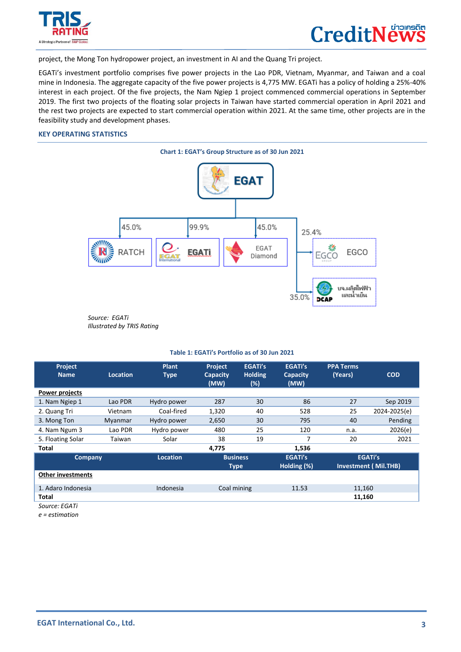

 $\overline{a}$ 



project, the Mong Ton hydropower project, an investment in AI and the Quang Tri project.

EGATi's investment portfolio comprises five power projects in the Lao PDR, Vietnam, Myanmar, and Taiwan and a coal mine in Indonesia. The aggregate capacity of the five power projects is 4,775 MW. EGATi has a policy of holding a 25%-40% interest in each project. Of the five projects, the Nam Ngiep 1 project commenced commercial operations in September 2019. The first two projects of the floating solar projects in Taiwan have started commercial operation in April 2021 and the rest two projects are expected to start commercial operation within 2021. At the same time, other projects are in the feasibility study and development phases.

#### **KEY OPERATING STATISTICS**



*Source: EGATi Illustrated by TRIS Rating*

#### **Table 1: EGATi's Portfolio as of 30 Jun 2021**

| Project<br><b>Name</b>   | <b>Location</b> | <b>Plant</b><br><b>Type</b> | <b>Project</b><br><b>Capacity</b><br>(MW) | <b>EGATi's</b><br><b>Holding</b><br>(%) | <b>EGATi's</b><br><b>Capacity</b><br>(MW) | <b>PPA Terms</b><br>(Years) | <b>COD</b>                                    |
|--------------------------|-----------------|-----------------------------|-------------------------------------------|-----------------------------------------|-------------------------------------------|-----------------------------|-----------------------------------------------|
| Power projects           |                 |                             |                                           |                                         |                                           |                             |                                               |
| 1. Nam Ngiep 1           | Lao PDR         | Hydro power                 | 287                                       | 30                                      | 86                                        | 27                          | Sep 2019                                      |
| 2. Quang Tri             | Vietnam         | Coal-fired                  | 1,320                                     | 40                                      | 528                                       | 25                          | 2024-2025(e)                                  |
| 3. Mong Ton              | Myanmar         | Hydro power                 | 2,650                                     | 30                                      | 795                                       | 40                          | Pending                                       |
| 4. Nam Ngum 3            | Lao PDR         | Hydro power                 | 480                                       | 25                                      | 120                                       | n.a.                        | 2026(e)                                       |
| 5. Floating Solar        | Taiwan          | Solar                       | 38                                        | 19                                      | 7                                         | 20                          | 2021                                          |
| <b>Total</b>             |                 |                             | 4,775                                     |                                         | 1,536                                     |                             |                                               |
| Company                  |                 | <b>Location</b>             | <b>Type</b>                               | <b>Business</b>                         | <b>EGATi's</b><br>Holding (%)             |                             | <b>EGATi's</b><br><b>Investment (Mil.THB)</b> |
| <b>Other investments</b> |                 |                             |                                           |                                         |                                           |                             |                                               |
| 1. Adaro Indonesia       |                 | Indonesia                   | Coal mining                               |                                         | 11.53                                     | 11,160                      |                                               |
| Total                    |                 |                             |                                           |                                         |                                           | 11,160                      |                                               |
| Source: EGATi            |                 |                             |                                           |                                         |                                           |                             |                                               |

*e = estimation*

I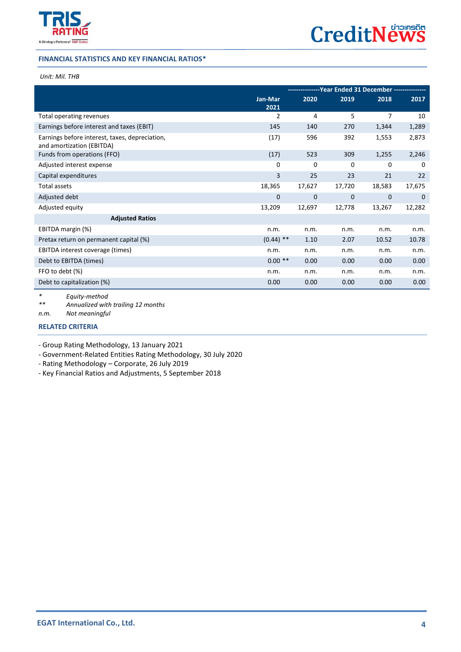

#### **FINANCIAL STATISTICS AND KEY FINANCIAL RATIOS\***

#### *Unit: Mil. THB*

 $\overline{a}$ 

|                                                                             |             | ---------------Year Ended 31 December --------------- |        |              |        |
|-----------------------------------------------------------------------------|-------------|-------------------------------------------------------|--------|--------------|--------|
|                                                                             | Jan-Mar     | 2020                                                  | 2019   | 2018         | 2017   |
|                                                                             | 2021        |                                                       |        |              |        |
| Total operating revenues                                                    | 2           | 4                                                     | 5      | 7            | 10     |
| Earnings before interest and taxes (EBIT)                                   | 145         | 140                                                   | 270    | 1,344        | 1,289  |
| Earnings before interest, taxes, depreciation,<br>and amortization (EBITDA) | (17)        | 596                                                   | 392    | 1,553        | 2,873  |
| Funds from operations (FFO)                                                 | (17)        | 523                                                   | 309    | 1,255        | 2,246  |
| Adjusted interest expense                                                   | 0           | 0                                                     | 0      | 0            | 0      |
| Capital expenditures                                                        | 3           | 25                                                    | 23     | 21           | 22     |
| Total assets                                                                | 18,365      | 17,627                                                | 17,720 | 18,583       | 17,675 |
| Adjusted debt                                                               | 0           | 0                                                     | 0      | $\mathbf{0}$ | 0      |
| Adjusted equity                                                             | 13,209      | 12,697                                                | 12,778 | 13,267       | 12,282 |
| <b>Adjusted Ratios</b>                                                      |             |                                                       |        |              |        |
| EBITDA margin (%)                                                           | n.m.        | n.m.                                                  | n.m.   | n.m.         | n.m.   |
| Pretax return on permanent capital (%)                                      | $(0.44)$ ** | 1.10                                                  | 2.07   | 10.52        | 10.78  |
| EBITDA interest coverage (times)                                            | n.m.        | n.m.                                                  | n.m.   | n.m.         | n.m.   |
| Debt to EBITDA (times)                                                      | $0.00**$    | 0.00                                                  | 0.00   | 0.00         | 0.00   |
| FFO to debt (%)                                                             | n.m.        | n.m.                                                  | n.m.   | n.m.         | n.m.   |
| Debt to capitalization (%)                                                  | 0.00        | 0.00                                                  | 0.00   | 0.00         | 0.00   |
| $F$ auitu mothod                                                            |             |                                                       |        |              |        |

*\* Equity-method \*\* Annualized with trailing 12 months*

*n.m. Not meaningful*

### **[RELATED CRITERIA](https://www.trisrating.com/rating-information/rating-criteria/)**

- Group Rating Methodology, 13 January 2021

- Government-Related Entities Rating Methodology, 30 July 2020

- Rating Methodology – Corporate, 26 July 2019

- Key Financial Ratios and Adjustments, 5 September 2018